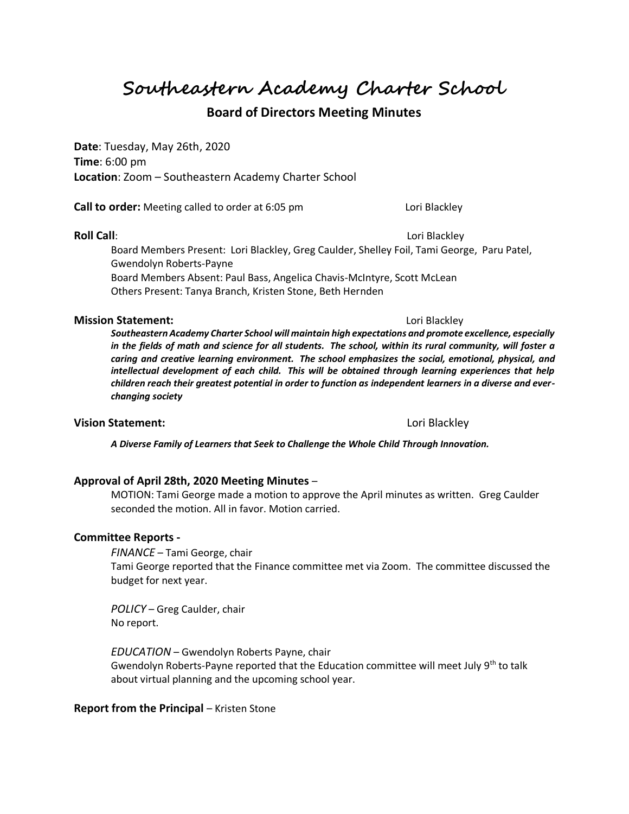**Southeastern Academy Charter School**

#### **Board of Directors Meeting Minutes**

**Date**: Tuesday, May 26th, 2020 **Time**: 6:00 pm **Location**: Zoom – Southeastern Academy Charter School

**Call to order:** Meeting called to order at 6:05 pm Lori Blackley

**Roll Call**: **Lori Blackley** 

Board Members Present: Lori Blackley, Greg Caulder, Shelley Foil, Tami George, Paru Patel, Gwendolyn Roberts-Payne Board Members Absent: Paul Bass, Angelica Chavis-McIntyre, Scott McLean

Others Present: Tanya Branch, Kristen Stone, Beth Hernden

#### **Mission Statement:**  $\qquad \qquad$  Lori Blackley

*Southeastern Academy Charter School will maintain high expectations and promote excellence, especially in the fields of math and science for all students. The school, within its rural community, will foster a caring and creative learning environment. The school emphasizes the social, emotional, physical, and intellectual development of each child. This will be obtained through learning experiences that help children reach their greatest potential in order to function as independent learners in a diverse and everchanging society*

#### **Vision Statement:** Lori Blackley

*A Diverse Family of Learners that Seek to Challenge the Whole Child Through Innovation.*

#### **Approval of April 28th, 2020 Meeting Minutes** –

MOTION: Tami George made a motion to approve the April minutes as written. Greg Caulder seconded the motion. All in favor. Motion carried.

#### **Committee Reports -**

*FINANCE* – Tami George, chair Tami George reported that the Finance committee met via Zoom. The committee discussed the budget for next year.

*POLICY* – Greg Caulder, chair No report.

*EDUCATION* – Gwendolyn Roberts Payne, chair Gwendolyn Roberts-Payne reported that the Education committee will meet July 9<sup>th</sup> to talk about virtual planning and the upcoming school year.

#### **Report from the Principal** – Kristen Stone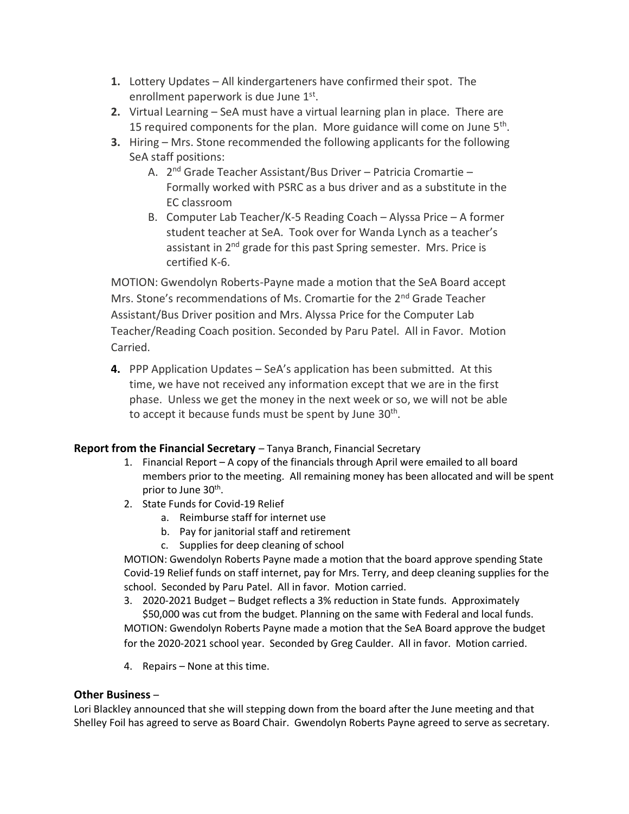- **1.** Lottery Updates All kindergarteners have confirmed their spot. The enrollment paperwork is due June 1st.
- **2.** Virtual Learning SeA must have a virtual learning plan in place. There are 15 required components for the plan. More guidance will come on June  $5<sup>th</sup>$ .
- **3.** Hiring Mrs. Stone recommended the following applicants for the following SeA staff positions:
	- A. 2<sup>nd</sup> Grade Teacher Assistant/Bus Driver Patricia Cromartie Formally worked with PSRC as a bus driver and as a substitute in the EC classroom
	- B. Computer Lab Teacher/K-5 Reading Coach Alyssa Price A former student teacher at SeA. Took over for Wanda Lynch as a teacher's assistant in 2<sup>nd</sup> grade for this past Spring semester. Mrs. Price is certified K-6.

MOTION: Gwendolyn Roberts-Payne made a motion that the SeA Board accept Mrs. Stone's recommendations of Ms. Cromartie for the 2<sup>nd</sup> Grade Teacher Assistant/Bus Driver position and Mrs. Alyssa Price for the Computer Lab Teacher/Reading Coach position. Seconded by Paru Patel. All in Favor. Motion Carried.

**4.** PPP Application Updates – SeA's application has been submitted. At this time, we have not received any information except that we are in the first phase. Unless we get the money in the next week or so, we will not be able to accept it because funds must be spent by June 30<sup>th</sup>.

### **Report from the Financial Secretary** – Tanya Branch, Financial Secretary

- 1. Financial Report A copy of the financials through April were emailed to all board members prior to the meeting. All remaining money has been allocated and will be spent prior to June 30<sup>th</sup>.
- 2. State Funds for Covid-19 Relief
	- a. Reimburse staff for internet use
	- b. Pay for janitorial staff and retirement
	- c. Supplies for deep cleaning of school

MOTION: Gwendolyn Roberts Payne made a motion that the board approve spending State Covid-19 Relief funds on staff internet, pay for Mrs. Terry, and deep cleaning supplies for the school. Seconded by Paru Patel. All in favor. Motion carried.

- 3. 2020-2021 Budget Budget reflects a 3% reduction in State funds. Approximately \$50,000 was cut from the budget. Planning on the same with Federal and local funds. MOTION: Gwendolyn Roberts Payne made a motion that the SeA Board approve the budget for the 2020-2021 school year. Seconded by Greg Caulder. All in favor. Motion carried.
- 4. Repairs None at this time.

#### **Other Business** –

Lori Blackley announced that she will stepping down from the board after the June meeting and that Shelley Foil has agreed to serve as Board Chair. Gwendolyn Roberts Payne agreed to serve as secretary.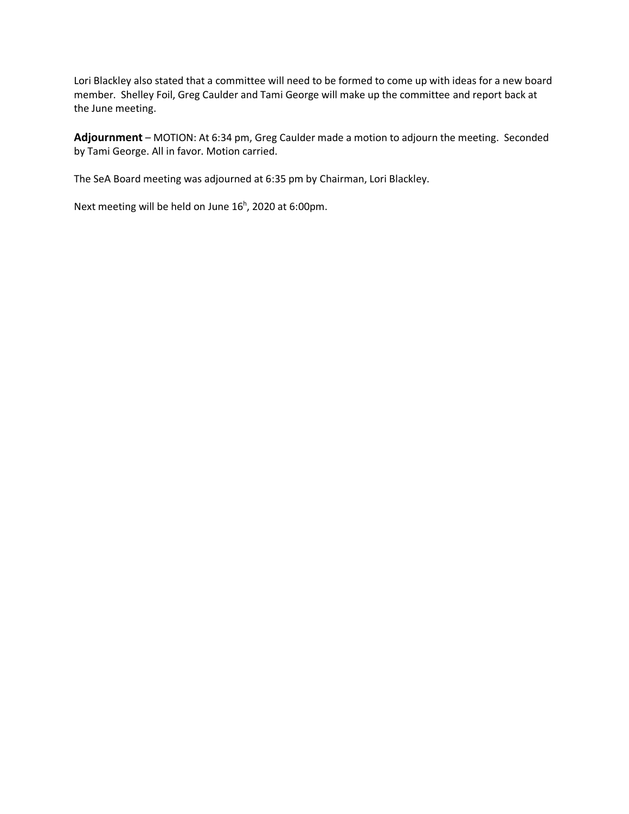Lori Blackley also stated that a committee will need to be formed to come up with ideas for a new board member. Shelley Foil, Greg Caulder and Tami George will make up the committee and report back at the June meeting.

**Adjournment** – MOTION: At 6:34 pm, Greg Caulder made a motion to adjourn the meeting. Seconded by Tami George. All in favor. Motion carried.

The SeA Board meeting was adjourned at 6:35 pm by Chairman, Lori Blackley.

Next meeting will be held on June 16<sup>h</sup>, 2020 at 6:00pm.